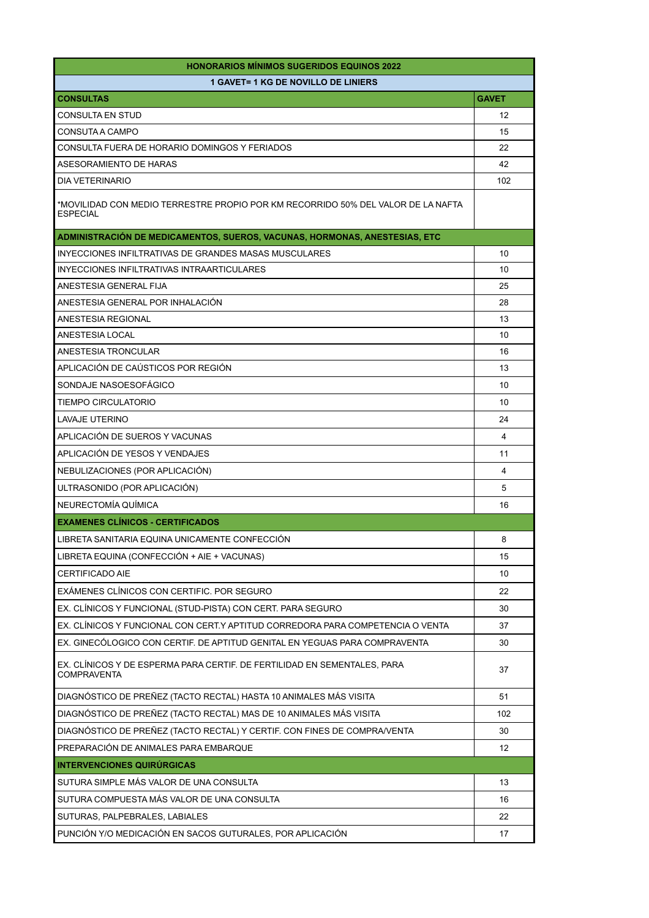| <b>HONORARIOS MÍNIMOS SUGERIDOS EQUINOS 2022</b>                                                    |              |  |
|-----------------------------------------------------------------------------------------------------|--------------|--|
| <b>1 GAVET= 1 KG DE NOVILLO DE LINIERS</b>                                                          |              |  |
| <b>CONSULTAS</b>                                                                                    | <b>GAVET</b> |  |
| <b>CONSULTA EN STUD</b>                                                                             | 12           |  |
| CONSUTA A CAMPO                                                                                     | 15           |  |
| CONSULTA FUERA DE HORARIO DOMINGOS Y FERIADOS                                                       | 22           |  |
| ASESORAMIENTO DE HARAS                                                                              | 42           |  |
| <b>DIA VETERINARIO</b>                                                                              | 102          |  |
| *MOVILIDAD CON MEDIO TERRESTRE PROPIO POR KM RECORRIDO 50% DEL VALOR DE LA NAFTA<br><b>ESPECIAL</b> |              |  |
| ADMINISTRACIÓN DE MEDICAMENTOS, SUEROS, VACUNAS, HORMONAS, ANESTESIAS, ETC                          |              |  |
| INYECCIONES INFILTRATIVAS DE GRANDES MASAS MUSCULARES                                               | 10           |  |
| INYECCIONES INFILTRATIVAS INTRAARTICULARES                                                          | 10           |  |
| ANESTESIA GENERAL FIJA                                                                              | 25           |  |
| ANESTESIA GENERAL POR INHALACIÓN                                                                    | 28           |  |
| ANESTESIA REGIONAL                                                                                  | 13           |  |
| ANESTESIA LOCAL                                                                                     | 10           |  |
| ANESTESIA TRONCULAR                                                                                 | 16           |  |
| APLICACIÓN DE CAÚSTICOS POR REGIÓN                                                                  | 13           |  |
| SONDAJE NASOESOFAGICO                                                                               | 10           |  |
| <b>TIEMPO CIRCULATORIO</b>                                                                          | 10           |  |
| LAVAJE UTERINO                                                                                      | 24           |  |
| APLICACIÓN DE SUEROS Y VACUNAS                                                                      | 4            |  |
| APLICACIÓN DE YESOS Y VENDAJES                                                                      | 11           |  |
| NEBULIZACIONES (POR APLICACIÓN)                                                                     | 4            |  |
| ULTRASONIDO (POR APLICACIÓN)                                                                        | 5            |  |
| NEURECTOMÍA QUÍMICA                                                                                 | 16           |  |
| <b>EXAMENES CLÍNICOS - CERTIFICADOS</b>                                                             |              |  |
| LIBRETA SANITARIA EQUINA UNICAMENTE CONFECCIÓN                                                      | 8            |  |
| LIBRETA EQUINA (CONFECCIÓN + AIE + VACUNAS)                                                         | 15           |  |
| <b>CERTIFICADO AIE</b>                                                                              | 10           |  |
| EXÁMENES CLÍNICOS CON CERTIFIC. POR SEGURO                                                          | 22           |  |
| EX. CLÍNICOS Y FUNCIONAL (STUD-PISTA) CON CERT. PARA SEGURO                                         | 30           |  |
| EX. CLÍNICOS Y FUNCIONAL CON CERT.Y APTITUD CORREDORA PARA COMPETENCIA O VENTA                      | 37           |  |
| EX. GINECÓLOGICO CON CERTIF. DE APTITUD GENITAL EN YEGUAS PARA COMPRAVENTA                          | 30           |  |
| EX. CLÍNICOS Y DE ESPERMA PARA CERTIF. DE FERTILIDAD EN SEMENTALES, PARA<br><b>COMPRAVENTA</b>      | 37           |  |
| DIAGNÓSTICO DE PREÑEZ (TACTO RECTAL) HASTA 10 ANIMALES MÁS VISITA                                   | 51           |  |
| DIAGNÓSTICO DE PREÑEZ (TACTO RECTAL) MAS DE 10 ANIMALES MÁS VISITA                                  | 102          |  |
| DIAGNÓSTICO DE PREÑEZ (TACTO RECTAL) Y CERTIF. CON FINES DE COMPRA/VENTA                            | 30           |  |
| PREPARACIÓN DE ANIMALES PARA EMBARQUE                                                               | 12           |  |
| <b>INTERVENCIONES QUIRÚRGICAS</b>                                                                   |              |  |
| SUTURA SIMPLE MÁS VALOR DE UNA CONSULTA                                                             | 13           |  |
| SUTURA COMPUESTA MÁS VALOR DE UNA CONSULTA                                                          | 16           |  |
| SUTURAS, PALPEBRALES, LABIALES                                                                      | 22           |  |
| PUNCIÓN Y/O MEDICACIÓN EN SACOS GUTURALES, POR APLICACIÓN                                           | 17           |  |
|                                                                                                     |              |  |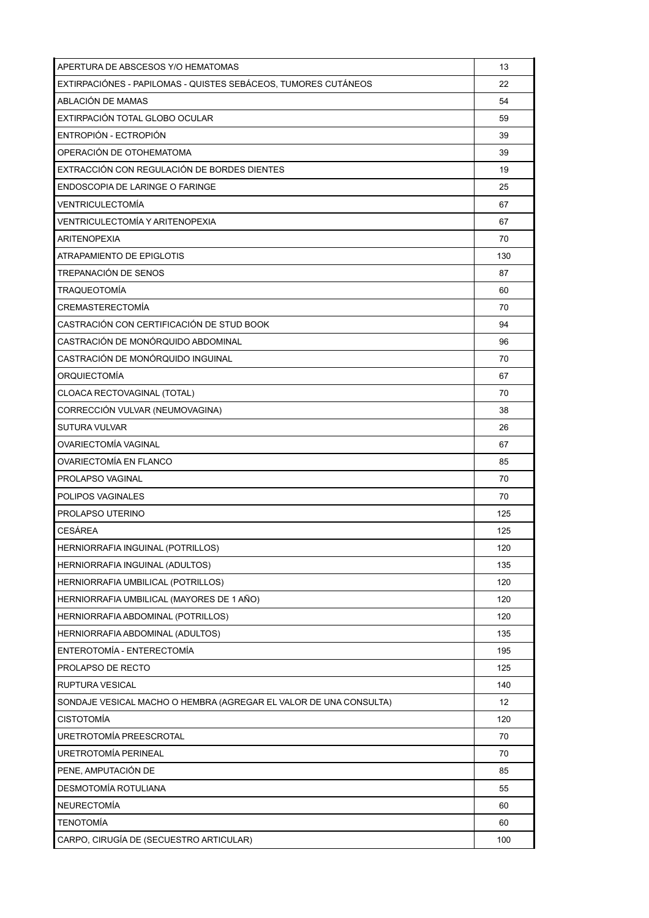| APERTURA DE ABSCESOS Y/O HEMATOMAS                                | 13                |
|-------------------------------------------------------------------|-------------------|
| EXTIRPACIÓNES - PAPILOMAS - QUISTES SEBÁCEOS, TUMORES CUTÁNEOS    | 22                |
| ABLACIÓN DE MAMAS                                                 | 54                |
| EXTIRPACIÓN TOTAL GLOBO OCULAR                                    | 59                |
| ENTROPIÓN - ECTROPIÓN                                             | 39                |
| OPERACIÓN DE OTOHEMATOMA                                          | 39                |
| EXTRACCIÓN CON REGULACIÓN DE BORDES DIENTES                       | 19                |
| ENDOSCOPIA DE LARINGE O FARINGE                                   | 25                |
| VENTRICULECTOMÍA                                                  | 67                |
| VENTRICULECTOMÍA Y ARITENOPEXIA                                   | 67                |
| <b>ARITENOPEXIA</b>                                               | 70                |
| ATRAPAMIENTO DE EPIGLOTIS                                         | 130               |
| TREPANACIÓN DE SENOS                                              | 87                |
| <b>TRAQUEOTOMÍA</b>                                               | 60                |
| CREMASTERECTOMÍA                                                  | 70                |
| CASTRACIÓN CON CERTIFICACIÓN DE STUD BOOK                         | 94                |
| CASTRACIÓN DE MONÓROUIDO ABDOMINAL                                | 96                |
| CASTRACIÓN DE MONÓRQUIDO INGUINAL                                 | 70                |
| <b>ORQUIECTOMÍA</b>                                               | 67                |
| CLOACA RECTOVAGINAL (TOTAL)                                       | 70                |
| CORRECCIÓN VULVAR (NEUMOVAGINA)                                   | 38                |
| <b>SUTURA VULVAR</b>                                              | 26                |
| <b>OVARIECTOMÍA VAGINAL</b>                                       | 67                |
| <b>OVARIECTOMÍA EN FLANCO</b>                                     | 85                |
| PROLAPSO VAGINAL                                                  | 70                |
| POLIPOS VAGINALES                                                 | 70                |
| PROLAPSO UTERINO                                                  | 125               |
| CESÁREA                                                           | 125               |
| HERNIORRAFIA INGUINAL (POTRILLOS)                                 | 120               |
| HERNIORRAFIA INGUINAL (ADULTOS)                                   | 135               |
| HERNIORRAFIA UMBILICAL (POTRILLOS)                                | 120               |
| HERNIORRAFIA UMBILICAL (MAYORES DE 1 AÑO)                         | 120               |
| HERNIORRAFIA ABDOMINAL (POTRILLOS)                                | 120               |
| HERNIORRAFIA ABDOMINAL (ADULTOS)                                  | 135               |
| ENTEROTOMÍA - ENTERECTOMÍA                                        | 195               |
| PROLAPSO DE RECTO                                                 | 125               |
| RUPTURA VESICAL                                                   | 140               |
| SONDAJE VESICAL MACHO O HEMBRA (AGREGAR EL VALOR DE UNA CONSULTA) | $12 \overline{ }$ |
| <b>CISTOTOMÍA</b>                                                 | 120               |
| URETROTOMÍA PREESCROTAL                                           | 70                |
| URETROTOMÍA PERINEAL                                              | 70                |
| PENE, AMPUTACIÓN DE                                               | 85                |
| DESMOTOMÍA ROTULIANA                                              | 55                |
| <b>NEURECTOMÍA</b>                                                | 60                |
| <b>TENOTOMÍA</b>                                                  | 60                |
| CARPO, CIRUGÍA DE (SECUESTRO ARTICULAR)                           | 100               |